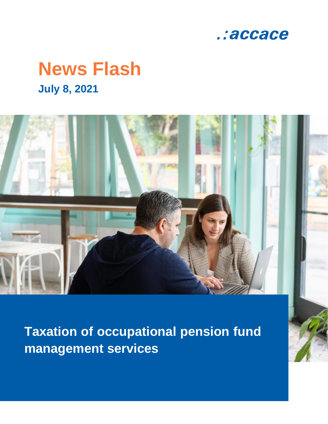

# **News Flash July 8, 2021**



**Taxation of occupational pension fund management services**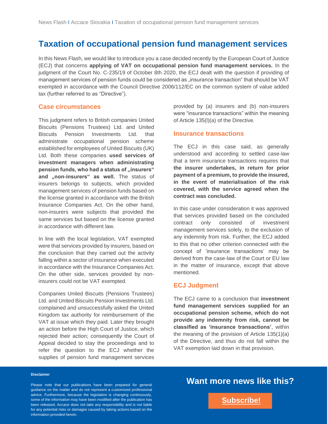## **Taxation of occupational pension fund management services**

In this News Flash, we would like to introduce you a case decided recently by the European Court of Justice (ECJ) that concerns **applying of VAT on occupational pension fund management services.** In the judgment of the Court No. C-235/19 of October 8th 2020, the ECJ dealt with the question if providing of management services of pension funds could be considered as "insurance transaction" that should be VAT exempted in accordance with the Council Directive 2006/112/EC on the common system of value added tax (further referred to as "Directive").

#### **Case circumstances**

This judgment refers to British companies United Biscuits (Pensions Trustees) Ltd. and United Biscuits Pension Investments Ltd. that administrate occupational pension scheme established for employees of United Biscuits (UK) Ltd. Both these companies **used services of investment managers when administrating pension funds, who had a status of "insurers"** and "non-insurers" as well. The status of insurers belongs to subjects, which provided management services of pension funds based on the license granted in accordance with the British Insurance Companies Act. On the other hand, non-insurers were subjects that provided the same services but based on the license granted in accordance with different law.

In line with the local legislation, VAT exempted were that services provided by insurers, based on the conclusion that they carried out the activity falling within a sector of insurance when executed in accordance with the Insurance Companies Act. On the other side, services provided by noninsurers could not be VAT exempted.

Companies United Biscuits (Pensions Trustees) Ltd. and United Biscuits Pension Investments Ltd. complained and unsuccessfully asked the United Kingdom tax authority for reimbursement of the VAT at issue which they paid. Later they brought an action before the High Court of Justice, which rejected their action; consequently the Court of Appeal decided to stay the proceedings and to refer the question to the ECJ whether the supplies of pension fund management services

provided by (a) insurers and (b) non-insurers were "insurance transactions" within the meaning of Article 135(l)(a) of the Directive.

#### **Insurance transactions**

The ECJ in this case said, as generally understood and according to settled case-law that a term insurance transactions requires that **the insurer undertakes, in return for prior payment of a premium, to provide the insured, in the event of materialisation of the risk covered, with the service agreed when the contract was concluded.**

In this case under consideration it was approved that services provided based on the concluded contract only consisted of investment management services solely, to the exclusion of any indemnity from risk. Further, the ECJ added to this that no other criterion connected with the concept of 'insurance transactions' may be derived from the case-law of the Court or EU law in the matter of insurance, except that above mentioned.

#### **ECJ Judgment**

The ECJ came to a conclusion that **investment fund management services supplied for an occupational pension scheme, which do not provide any indemnity from risk, cannot be classified as 'insurance transactions'**, within the meaning of the provision of Article 135(1)(a) of the Directive, and thus do not fall within the VAT exemption laid down in that provision.

#### **Disclaimer**

Please note that our publications have been prepared for general guidance on the matter and do not represent a customized professional advice. Furthermore, because the legislation is changing continuously, some of the information may have been modified after the publication has been released. Accace does not take any responsibility and is not liable for any potential risks or damages caused by taking actions based on the information provided herein.

## **Want more news like this?**

**[Subscribe!](https://accace.com/subscribers-en/?utm_source=Newsletter_Link_Click&utm_medium=PDF&utm_campaign=English_Language_News_Flash)**